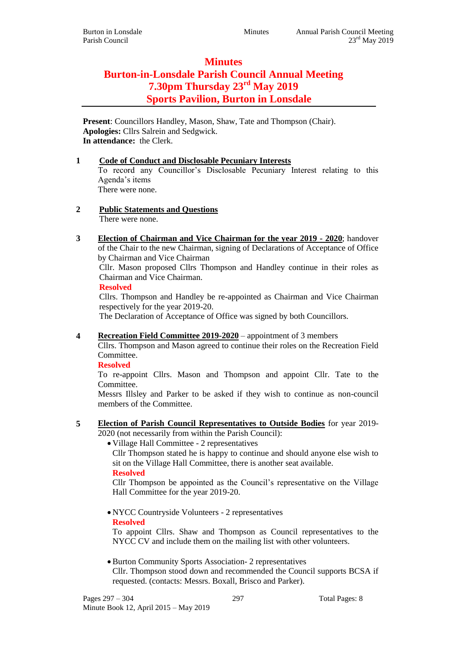## **Minutes Burton-in-Lonsdale Parish Council Annual Meeting 7.30pm Thursday 23rd May 2019 Sports Pavilion, Burton in Lonsdale**

**Present**: Councillors Handley, Mason, Shaw, Tate and Thompson (Chair). **Apologies:** Cllrs Salrein and Sedgwick. **In attendance:** the Clerk.

## **1 Code of Conduct and Disclosable Pecuniary Interests**

To record any Councillor's Disclosable Pecuniary Interest relating to this Agenda's items There were none.

#### **2 Public Statements and Questions** There were none.

**3 Election of Chairman and Vice Chairman for the year 2019 - 2020**; handover of the Chair to the new Chairman, signing of Declarations of Acceptance of Office by Chairman and Vice Chairman

Cllr. Mason proposed Cllrs Thompson and Handley continue in their roles as Chairman and Vice Chairman.

#### **Resolved**

Cllrs. Thompson and Handley be re-appointed as Chairman and Vice Chairman respectively for the year 2019-20.

The Declaration of Acceptance of Office was signed by both Councillors.

**4 Recreation Field Committee 2019-2020** – appointment of 3 members

Cllrs. Thompson and Mason agreed to continue their roles on the Recreation Field Committee.

### **Resolved**

To re-appoint Cllrs. Mason and Thompson and appoint Cllr. Tate to the Committee.

Messrs Illsley and Parker to be asked if they wish to continue as non-council members of the Committee.

**5 Election of Parish Council Representatives to Outside Bodies** for year 2019- 2020 (not necessarily from within the Parish Council):

Village Hall Committee - 2 representatives

Cllr Thompson stated he is happy to continue and should anyone else wish to sit on the Village Hall Committee, there is another seat available. **Resolved**

Cllr Thompson be appointed as the Council's representative on the Village Hall Committee for the year 2019-20.

 NYCC Countryside Volunteers - 2 representatives **Resolved**

To appoint Cllrs. Shaw and Thompson as Council representatives to the NYCC CV and include them on the mailing list with other volunteers.

 Burton Community Sports Association- 2 representatives Cllr. Thompson stood down and recommended the Council supports BCSA if requested. (contacts: Messrs. Boxall, Brisco and Parker).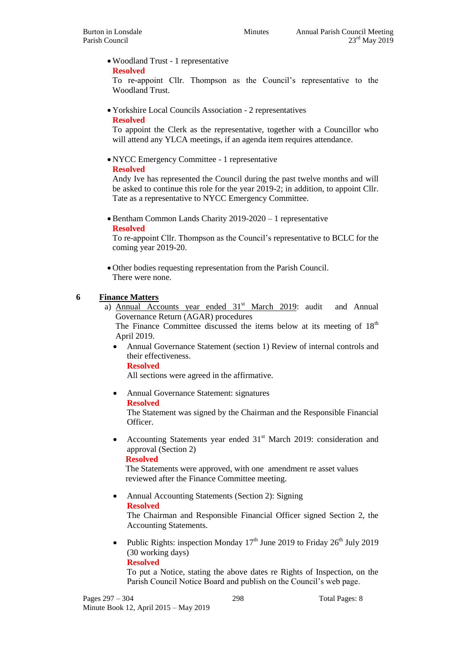Woodland Trust - 1 representative

#### **Resolved**

To re-appoint Cllr. Thompson as the Council's representative to the Woodland Trust.

Yorkshire Local Councils Association - 2 representatives

#### **Resolved**

To appoint the Clerk as the representative, together with a Councillor who will attend any YLCA meetings, if an agenda item requires attendance.

NYCC Emergency Committee - 1 representative

#### **Resolved**

Andy Ive has represented the Council during the past twelve months and will be asked to continue this role for the year 2019-2; in addition, to appoint Cllr. Tate as a representative to NYCC Emergency Committee.

• Bentham Common Lands Charity 2019-2020 – 1 representative **Resolved**

To re-appoint Cllr. Thompson as the Council's representative to BCLC for the coming year 2019-20.

 Other bodies requesting representation from the Parish Council. There were none.

### **6 Finance Matters**

a) Annual Accounts year ended  $31<sup>st</sup>$  March 2019: audit and Annual Governance Return (AGAR) procedures

The Finance Committee discussed the items below at its meeting of  $18<sup>th</sup>$ April 2019.

 Annual Governance Statement (section 1) Review of internal controls and their effectiveness.

#### **Resolved**

All sections were agreed in the affirmative.

Annual Governance Statement: signatures

#### **Resolved**

The Statement was signed by the Chairman and the Responsible Financial Officer.

• Accounting Statements year ended  $31<sup>st</sup>$  March 2019: consideration and approval (Section 2)

#### **Resolved**

The Statements were approved, with one amendment re asset values reviewed after the Finance Committee meeting.

• Annual Accounting Statements (Section 2): Signing **Resolved**

The Chairman and Responsible Financial Officer signed Section 2, the Accounting Statements.

• Public Rights: inspection Monday  $17<sup>th</sup>$  June 2019 to Friday  $26<sup>th</sup>$  July 2019 (30 working days) **Resolved**

To put a Notice, stating the above dates re Rights of Inspection, on the Parish Council Notice Board and publish on the Council's web page.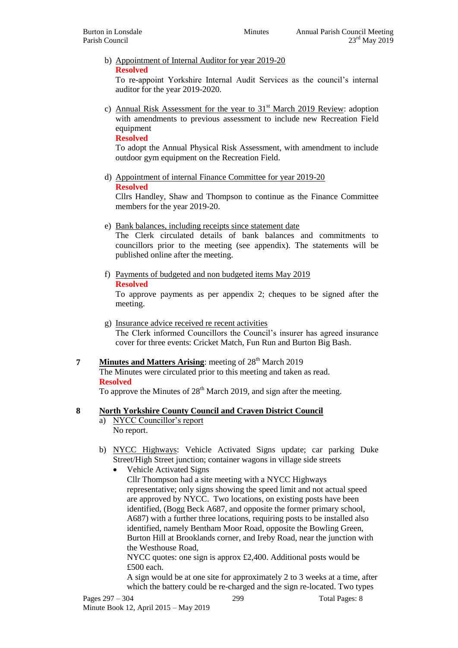b) Appointment of Internal Auditor for year 2019-20 **Resolved**

To re-appoint Yorkshire Internal Audit Services as the council's internal auditor for the year 2019-2020.

c) Annual Risk Assessment for the year to  $31<sup>st</sup>$  March 2019 Review: adoption with amendments to previous assessment to include new Recreation Field equipment

**Resolved**

To adopt the Annual Physical Risk Assessment, with amendment to include outdoor gym equipment on the Recreation Field.

d) Appointment of internal Finance Committee for year 2019-20 **Resolved**

Cllrs Handley, Shaw and Thompson to continue as the Finance Committee members for the year 2019-20.

e) Bank balances, including receipts since statement date

The Clerk circulated details of bank balances and commitments to councillors prior to the meeting (see appendix). The statements will be published online after the meeting.

f) Payments of budgeted and non budgeted items May 2019

**Resolved**

To approve payments as per appendix 2; cheques to be signed after the meeting.

- g) Insurance advice received re recent activities The Clerk informed Councillors the Council's insurer has agreed insurance cover for three events: Cricket Match, Fun Run and Burton Big Bash.
- **7 Minutes and Matters Arising**: meeting of 28<sup>th</sup> March 2019 The Minutes were circulated prior to this meeting and taken as read. **Resolved**

To approve the Minutes of 28<sup>th</sup> March 2019, and sign after the meeting.

#### **8 North Yorkshire County Council and Craven District Council**

- a) NYCC Councillor's report No report.
- b) NYCC Highways: Vehicle Activated Signs update; car parking Duke Street/High Street junction; container wagons in village side streets
	- Vehicle Activated Signs Cllr Thompson had a site meeting with a NYCC Highways representative; only signs showing the speed limit and not actual speed are approved by NYCC. Two locations, on existing posts have been identified, (Bogg Beck A687, and opposite the former primary school, A687) with a further three locations, requiring posts to be installed also identified, namely Bentham Moor Road, opposite the Bowling Green, Burton Hill at Brooklands corner, and Ireby Road, near the junction with the Westhouse Road,

NYCC quotes: one sign is approx £2,400. Additional posts would be £500 each.

A sign would be at one site for approximately 2 to 3 weeks at a time, after which the battery could be re-charged and the sign re-located. Two types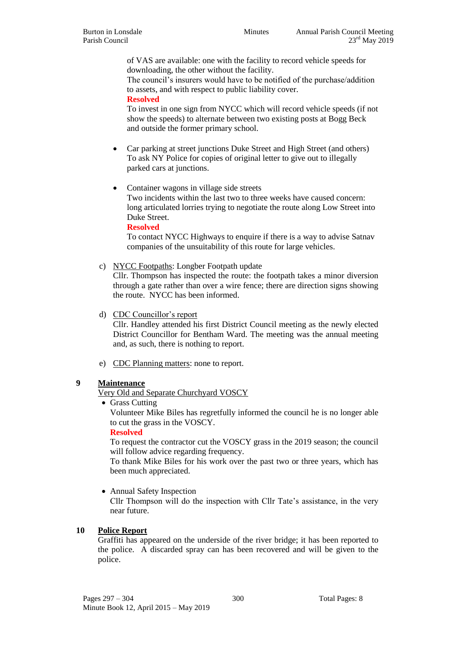of VAS are available: one with the facility to record vehicle speeds for downloading, the other without the facility.

The council's insurers would have to be notified of the purchase/addition to assets, and with respect to public liability cover.

**Resolved**

To invest in one sign from NYCC which will record vehicle speeds (if not show the speeds) to alternate between two existing posts at Bogg Beck and outside the former primary school.

- Car parking at street junctions Duke Street and High Street (and others) To ask NY Police for copies of original letter to give out to illegally parked cars at junctions.
- Container wagons in village side streets

Two incidents within the last two to three weeks have caused concern: long articulated lorries trying to negotiate the route along Low Street into Duke Street.

**Resolved**

To contact NYCC Highways to enquire if there is a way to advise Satnav companies of the unsuitability of this route for large vehicles.

c) NYCC Footpaths: Longber Footpath update

Cllr. Thompson has inspected the route: the footpath takes a minor diversion through a gate rather than over a wire fence; there are direction signs showing the route. NYCC has been informed.

d) CDC Councillor's report

Cllr. Handley attended his first District Council meeting as the newly elected District Councillor for Bentham Ward. The meeting was the annual meeting and, as such, there is nothing to report.

e) CDC Planning matters: none to report.

#### **9 Maintenance**

Very Old and Separate Churchyard VOSCY

• Grass Cutting

Volunteer Mike Biles has regretfully informed the council he is no longer able to cut the grass in the VOSCY.

#### **Resolved**

To request the contractor cut the VOSCY grass in the 2019 season; the council will follow advice regarding frequency.

To thank Mike Biles for his work over the past two or three years, which has been much appreciated.

• Annual Safety Inspection

Cllr Thompson will do the inspection with Cllr Tate's assistance, in the very near future.

#### **10 Police Report**

Graffiti has appeared on the underside of the river bridge; it has been reported to the police. A discarded spray can has been recovered and will be given to the police.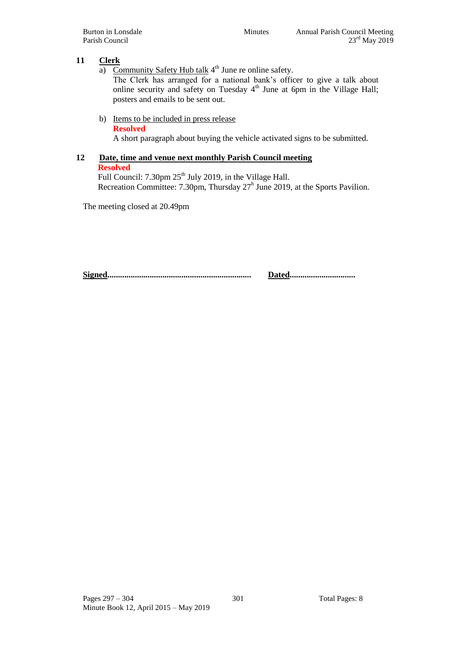#### **11 Clerk**

a) Community Safety Hub talk  $4<sup>th</sup>$  June re online safety.

The Clerk has arranged for a national bank's officer to give a talk about online security and safety on Tuesday  $4<sup>th</sup>$  June at 6pm in the Village Hall; posters and emails to be sent out.

- b) Items to be included in press release
	- **Resolved**

A short paragraph about buying the vehicle activated signs to be submitted.

## **12 Date, time and venue next monthly Parish Council meeting**

**Resolved**

Full Council:  $7.30 \text{pm} 25^{\text{th}}$  July 2019, in the Village Hall. Recreation Committee: 7.30pm, Thursday 27<sup>h</sup> June 2019, at the Sports Pavilion.

The meeting closed at 20.49pm

**Signed.................................................................... Dated...............................**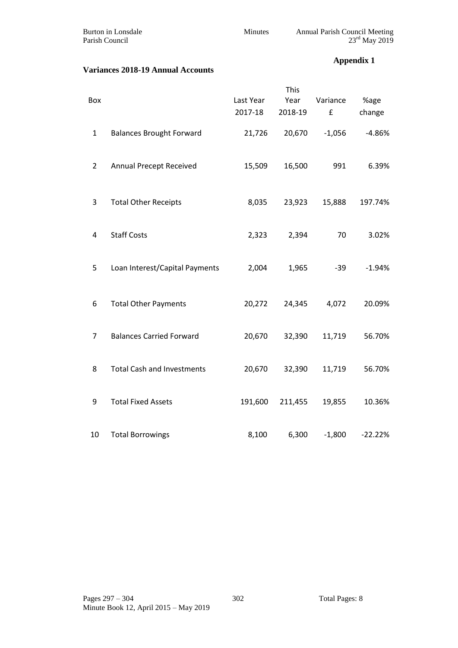| Burton in Lonsdale |  |
|--------------------|--|
| Parish Council     |  |

Burton in Lonsdale Minutes Annual Parish Council Meeting Parish Council  $23<sup>rd</sup>$  May 2019

#### **Variances 2018-19 Annual Accounts**

### **Appendix 1**

| Box            |                                   | Last Year<br>2017-18 | This<br>Year<br>2018-19 | Variance<br>£ | %age<br>change |
|----------------|-----------------------------------|----------------------|-------------------------|---------------|----------------|
| $\mathbf{1}$   | <b>Balances Brought Forward</b>   | 21,726               | 20,670                  | $-1,056$      | $-4.86%$       |
| $\overline{2}$ | Annual Precept Received           | 15,509               | 16,500                  | 991           | 6.39%          |
| 3              | <b>Total Other Receipts</b>       | 8,035                | 23,923                  | 15,888        | 197.74%        |
| 4              | <b>Staff Costs</b>                | 2,323                | 2,394                   | 70            | 3.02%          |
| 5              | Loan Interest/Capital Payments    | 2,004                | 1,965                   | $-39$         | $-1.94%$       |
| 6              | <b>Total Other Payments</b>       | 20,272               | 24,345                  | 4,072         | 20.09%         |
| 7              | <b>Balances Carried Forward</b>   | 20,670               | 32,390                  | 11,719        | 56.70%         |
| 8              | <b>Total Cash and Investments</b> | 20,670               | 32,390                  | 11,719        | 56.70%         |
| 9              | <b>Total Fixed Assets</b>         | 191,600              | 211,455                 | 19,855        | 10.36%         |
| 10             | <b>Total Borrowings</b>           | 8,100                | 6,300                   | $-1,800$      | $-22.22%$      |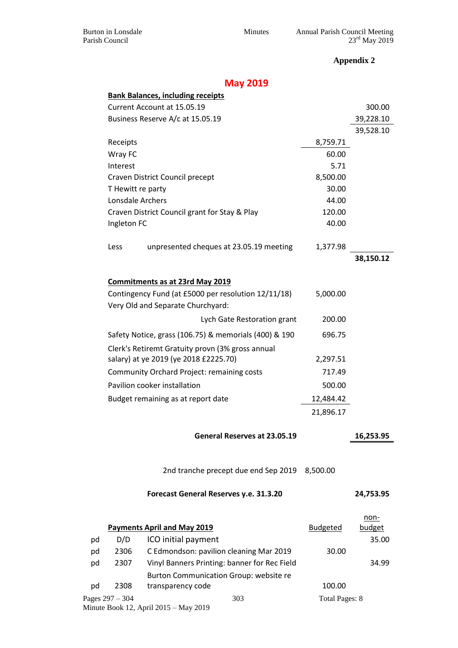Burton in Lonsdale Minutes Annual Parish Council Meeting Parish Council  $23<sup>rd</sup>$  May 2019

**Appendix 2**

# **May 2019**

|                                                  |                                                                                                                  | <b>Bank Balances, including receipts</b>              |                       |                |
|--------------------------------------------------|------------------------------------------------------------------------------------------------------------------|-------------------------------------------------------|-----------------------|----------------|
|                                                  |                                                                                                                  | Current Account at 15.05.19                           |                       | 300.00         |
|                                                  | Business Reserve A/c at 15.05.19                                                                                 |                                                       |                       | 39,228.10      |
|                                                  |                                                                                                                  |                                                       |                       | 39,528.10      |
|                                                  | Receipts                                                                                                         |                                                       | 8,759.71              |                |
|                                                  | Wray FC                                                                                                          |                                                       | 60.00                 |                |
|                                                  | Interest                                                                                                         |                                                       | 5.71                  |                |
|                                                  |                                                                                                                  | Craven District Council precept                       | 8,500.00              |                |
|                                                  | T Hewitt re party                                                                                                |                                                       | 30.00                 |                |
|                                                  | Lonsdale Archers                                                                                                 |                                                       | 44.00                 |                |
|                                                  |                                                                                                                  | Craven District Council grant for Stay & Play         | 120.00                |                |
|                                                  | Ingleton FC                                                                                                      |                                                       | 40.00                 |                |
|                                                  |                                                                                                                  |                                                       |                       |                |
|                                                  | Less                                                                                                             | unpresented cheques at 23.05.19 meeting               | 1,377.98              |                |
|                                                  |                                                                                                                  |                                                       |                       | 38,150.12      |
|                                                  |                                                                                                                  |                                                       |                       |                |
|                                                  |                                                                                                                  | <b>Commitments as at 23rd May 2019</b>                |                       |                |
|                                                  |                                                                                                                  | Contingency Fund (at £5000 per resolution 12/11/18)   | 5,000.00              |                |
|                                                  |                                                                                                                  | Very Old and Separate Churchyard:                     |                       |                |
|                                                  |                                                                                                                  | Lych Gate Restoration grant                           | 200.00                |                |
|                                                  |                                                                                                                  | Safety Notice, grass (106.75) & memorials (400) & 190 | 696.75                |                |
| Clerk's Retiremt Gratuity provn (3% gross annual |                                                                                                                  |                                                       |                       |                |
| salary) at ye 2019 (ye 2018 £2225.70)            |                                                                                                                  | 2,297.51                                              |                       |                |
|                                                  | Community Orchard Project: remaining costs<br>Pavilion cooker installation<br>Budget remaining as at report date |                                                       | 717.49                |                |
|                                                  |                                                                                                                  |                                                       | 500.00                |                |
|                                                  |                                                                                                                  |                                                       | 12,484.42             |                |
|                                                  |                                                                                                                  |                                                       | 21,896.17             |                |
| General Reserves at 23.05.19                     |                                                                                                                  |                                                       |                       | 16,253.95      |
|                                                  |                                                                                                                  |                                                       |                       |                |
|                                                  |                                                                                                                  | 2nd tranche precept due end Sep 2019 8,500.00         |                       |                |
|                                                  |                                                                                                                  |                                                       |                       |                |
|                                                  |                                                                                                                  | Forecast General Reserves y.e. 31.3.20                |                       | 24,753.95      |
|                                                  |                                                                                                                  |                                                       |                       |                |
|                                                  |                                                                                                                  | <b>Payments April and May 2019</b>                    | <b>Budgeted</b>       | non-<br>budget |
| pd                                               | D/D                                                                                                              | ICO initial payment                                   |                       | 35.00          |
| pd                                               | 2306                                                                                                             | C Edmondson: pavilion cleaning Mar 2019               | 30.00                 |                |
| pd                                               | 2307                                                                                                             | Vinyl Banners Printing: banner for Rec Field          |                       | 34.99          |
|                                                  |                                                                                                                  | Burton Communication Group: website re                |                       |                |
| pd                                               | 2308                                                                                                             | transparency code                                     | 100.00                |                |
|                                                  | Pages $297 - 304$                                                                                                | 303                                                   | <b>Total Pages: 8</b> |                |
|                                                  |                                                                                                                  | Minute Book 12, April 2015 - May 2019                 |                       |                |